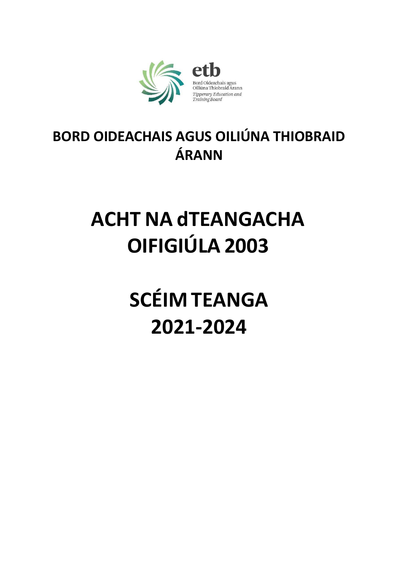

# **BORD OIDEACHAIS AGUS OILIÚNA THIOBRAID ÁRANN**

# **ACHT NA dTEANGACHA OIFIGIÚLA 2003**

**SCÉIM TEANGA 2021-2024**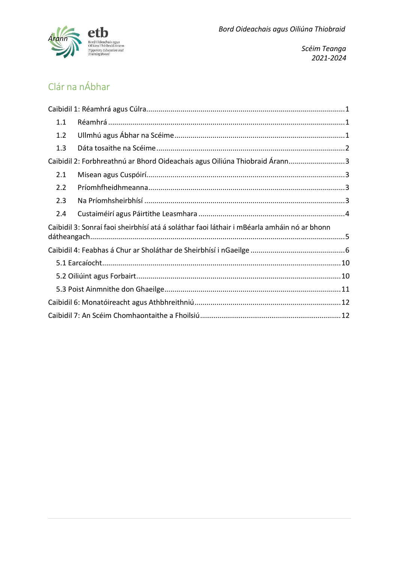

# Clár na nÁbhar

| 1.1 |                                                                                             |  |
|-----|---------------------------------------------------------------------------------------------|--|
| 1.2 |                                                                                             |  |
| 1.3 |                                                                                             |  |
|     | Caibidil 2: Forbhreathnú ar Bhord Oideachais agus Oiliúna Thiobraid Árann3                  |  |
| 2.1 |                                                                                             |  |
| 2.2 |                                                                                             |  |
| 2.3 |                                                                                             |  |
| 2.4 |                                                                                             |  |
|     | Caibidil 3: Sonraí faoi sheirbhísí atá á soláthar faoi láthair i mBéarla amháin nó ar bhonn |  |
|     |                                                                                             |  |
|     |                                                                                             |  |
|     |                                                                                             |  |
|     |                                                                                             |  |
|     |                                                                                             |  |
|     |                                                                                             |  |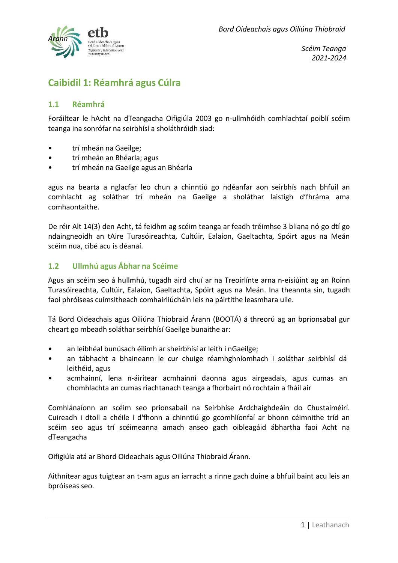

# <span id="page-2-0"></span>**Caibidil 1: Réamhrá agus Cúlra**

#### <span id="page-2-1"></span>**1.1 Réamhrá**

Foráiltear le hAcht na dTeangacha Oifigiúla 2003 go n-ullmhóidh comhlachtaí poiblí scéim teanga ina sonrófar na seirbhísí a sholáthróidh siad:

- trí mheán na Gaeilge;
- trí mheán an Bhéarla; agus
- trí mheán na Gaeilge agus an Bhéarla

agus na bearta a nglacfar leo chun a chinntiú go ndéanfar aon seirbhís nach bhfuil an comhlacht ag soláthar trí mheán na Gaeilge a sholáthar laistigh d'fhráma ama comhaontaithe.

De réir Alt 14(3) den Acht, tá feidhm ag scéim teanga ar feadh tréimhse 3 bliana nó go dtí go ndaingneoidh an tAire Turasóireachta, Cultúir, Ealaíon, Gaeltachta, Spóirt agus na Meán scéim nua, cibé acu is déanaí.

#### <span id="page-2-2"></span>**1.2 Ullmhú agus Ábhar na Scéime**

Agus an scéim seo á hullmhú, tugadh aird chuí ar na Treoirlínte arna n-eisiúint ag an Roinn Turasóireachta, Cultúir, Ealaíon, Gaeltachta, Spóirt agus na Meán. Ina theannta sin, tugadh faoi phróiseas cuimsitheach comhairliúcháin leis na páirtithe leasmhara uile.

Tá Bord Oideachais agus Oiliúna Thiobraid Árann (BOOTÁ) á threorú ag an bprionsabal gur cheart go mbeadh soláthar seirbhísí Gaeilge bunaithe ar:

- an leibhéal bunúsach éilimh ar sheirbhísí ar leith i nGaeilge;
- an tábhacht a bhaineann le cur chuige réamhghníomhach i soláthar seirbhísí dá leithéid, agus
- acmhainní, lena n-áirítear acmhainní daonna agus airgeadais, agus cumas an chomhlachta an cumas riachtanach teanga a fhorbairt nó rochtain a fháil air

Comhlánaíonn an scéim seo prionsabail na Seirbhíse Ardchaighdeáin do Chustaiméirí. Cuireadh i dtoll a chéile í d'fhonn a chinntiú go gcomhlíonfaí ar bhonn céimnithe tríd an scéim seo agus trí scéimeanna amach anseo gach oibleagáid ábhartha faoi Acht na dTeangacha

Oifigiúla atá ar Bhord Oideachais agus Oiliúna Thiobraid Árann.

Aithnítear agus tuigtear an t-am agus an iarracht a rinne gach duine a bhfuil baint acu leis an bpróiseas seo.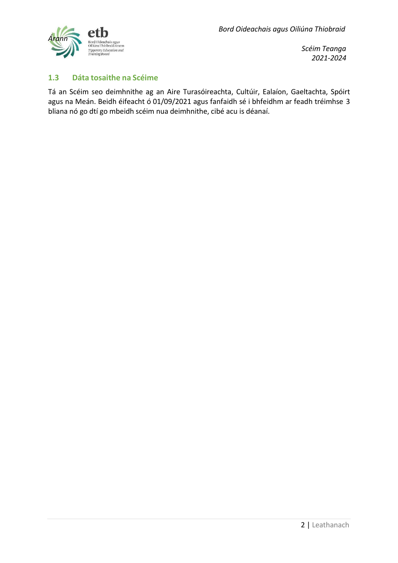

#### <span id="page-3-0"></span>**1.3 Dáta tosaithe na Scéime**

Tá an Scéim seo deimhnithe ag an Aire Turasóireachta, Cultúir, Ealaíon, Gaeltachta, Spóirt agus na Meán. Beidh éifeacht ó 01/09/2021 agus fanfaidh sé i bhfeidhm ar feadh tréimhse 3 bliana nó go dtí go mbeidh scéim nua deimhnithe, cibé acu is déanaí.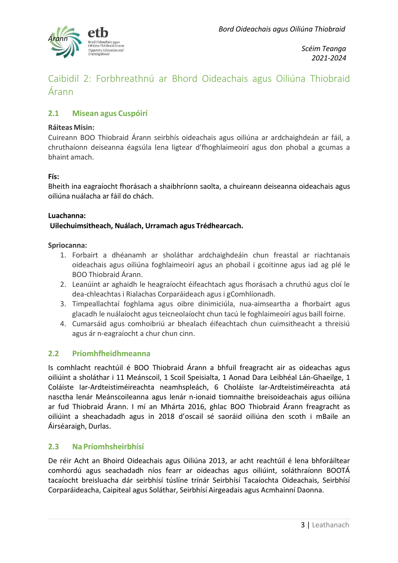

## <span id="page-4-0"></span>Caibidil 2: Forbhreathnú ar Bhord Oideachais agus Oiliúna Thiobraid Árann

#### <span id="page-4-1"></span>**2.1 Misean agus Cuspóirí**

#### **Ráiteas Misin:**

Cuireann BOO Thiobraid Árann seirbhís oideachais agus oiliúna ar ardchaighdeán ar fáil, a chruthaíonn deiseanna éagsúla lena ligtear d'fhoghlaimeoirí agus don phobal a gcumas a bhaint amach.

#### **Fís:**

Bheith ina eagraíocht fhorásach a shaibhríonn saolta, a chuireann deiseanna oideachais agus oiliúna nuálacha ar fáil do chách.

#### **Luachanna:**

#### **Uilechuimsitheach, Nuálach, Urramach agus Trédhearcach.**

#### **Spriocanna:**

- 1. Forbairt a dhéanamh ar sholáthar ardchaighdeáin chun freastal ar riachtanais oideachais agus oiliúna foghlaimeoirí agus an phobail i gcoitinne agus iad ag plé le BOO Thiobraid Árann.
- 2. Leanúint ar aghaidh le heagraíocht éifeachtach agus fhorásach a chruthú agus cloí le dea-chleachtas i Rialachas Corparáideach agus i gComhlíonadh.
- 3. Timpeallachtaí foghlama agus oibre dinimiciúla, nua-aimseartha a fhorbairt agus glacadh le nuálaíocht agus teicneolaíocht chun tacú le foghlaimeoirí agus baill foirne.
- 4. Cumarsáid agus comhoibriú ar bhealach éifeachtach chun cuimsitheacht a threisiú agus ár n-eagraíocht a chur chun cinn.

#### <span id="page-4-2"></span>**2.2 Príomhfheidhmeanna**

Is comhlacht reachtúil é BOO Thiobraid Árann a bhfuil freagracht air as oideachas agus oiliúint a sholáthar i 11 Meánscoil, 1 Scoil Speisialta, 1 Aonad Dara Leibhéal Lán-Ghaeilge, 1 Coláiste Iar-Ardteistiméireachta neamhspleách, 6 Choláiste Iar-Ardteistiméireachta atá nasctha lenár Meánscoileanna agus lenár n-ionaid tiomnaithe breisoideachais agus oiliúna ar fud Thiobraid Árann. I mí an Mhárta 2016, ghlac BOO Thiobraid Árann freagracht as oiliúint a sheachadadh agus in 2018 d'oscail sé saoráid oiliúna den scoth i mBaile an Áirséaraigh, Durlas.

#### <span id="page-4-3"></span>**2.3 Na Príomhsheirbhísí**

De réir Acht an Bhoird Oideachais agus Oiliúna 2013, ar acht reachtúil é lena bhforáiltear comhordú agus seachadadh níos fearr ar oideachas agus oiliúint, soláthraíonn BOOTÁ tacaíocht breisluacha dár seirbhísí túslíne trínár Seirbhísí Tacaíochta Oideachais, Seirbhísí Corparáideacha, Caipiteal agus Soláthar, Seirbhísí Airgeadais agus Acmhainní Daonna.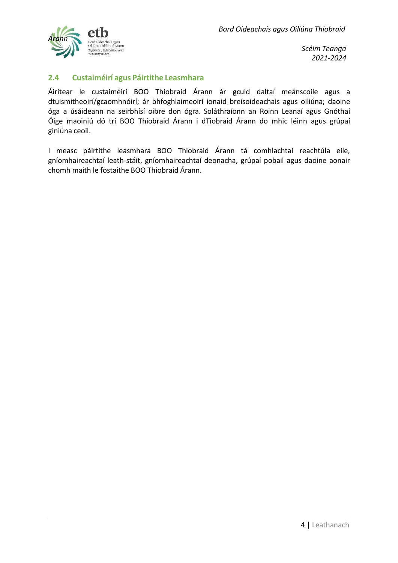

#### <span id="page-5-0"></span>**2.4 Custaiméirí agus Páirtithe Leasmhara**

Áirítear le custaiméirí BOO Thiobraid Árann ár gcuid daltaí meánscoile agus a dtuismitheoirí/gcaomhnóirí; ár bhfoghlaimeoirí ionaid breisoideachais agus oiliúna; daoine óga a úsáideann na seirbhísí oibre don ógra. Soláthraíonn an Roinn Leanaí agus Gnóthaí Óige maoiniú dó trí BOO Thiobraid Árann i dTiobraid Árann do mhic léinn agus grúpaí giniúna ceoil.

I measc páirtithe leasmhara BOO Thiobraid Árann tá comhlachtaí reachtúla eile, gníomhaireachtaí leath-stáit, gníomhaireachtaí deonacha, grúpaí pobail agus daoine aonair chomh maith le fostaithe BOO Thiobraid Árann.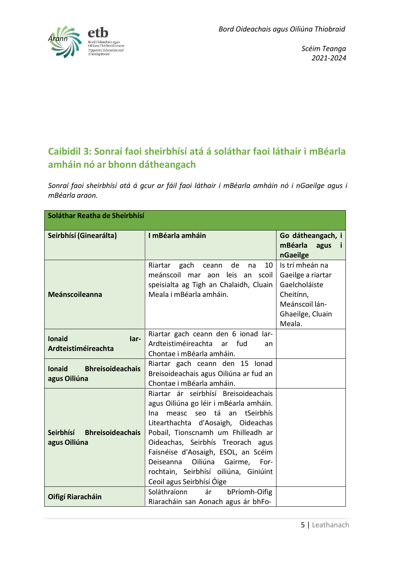

# <span id="page-6-0"></span>**Caibidil 3: Sonraí faoi sheirbhísí atá á soláthar faoi láthair i mBéarla amháin nó ar bhonn dátheangach**

*Sonraí faoi sheirbhísí atá á gcur ar fáil faoi láthair i mBéarla amháin nó i nGaeilge agus i mBéarla araon.*

| Soláthar Reatha de Sheirbhísí                               |                                                                                                                                                                                                                                                                                                                                                                                                 |                                                                                                                    |  |  |  |
|-------------------------------------------------------------|-------------------------------------------------------------------------------------------------------------------------------------------------------------------------------------------------------------------------------------------------------------------------------------------------------------------------------------------------------------------------------------------------|--------------------------------------------------------------------------------------------------------------------|--|--|--|
| Seirbhísí (Ginearálta)                                      | I mBéarla amháin                                                                                                                                                                                                                                                                                                                                                                                | Go dátheangach, i<br>mBéarla<br>agus<br>nGaeilge                                                                   |  |  |  |
| <b>Meánscoileanna</b>                                       | 10<br>Riartar<br>gach<br>de<br>ceann<br>na<br>meánscoil<br>mar aon leis an scoil<br>speisialta ag Tigh an Chalaidh, Cluain<br>Meala i mBéarla amháin.                                                                                                                                                                                                                                           | Is trí mheán na<br>Gaeilge a riartar<br>Gaelcholáiste<br>Cheitínn,<br>Meánscoil lán-<br>Ghaeilge, Cluain<br>Meala. |  |  |  |
| <b>Ionaid</b><br>lar-<br><b>Ardteistiméireachta</b>         | Riartar gach ceann den 6 ionad Iar-<br>Ardteistiméireachta ar fud<br>an<br>Chontae i mBéarla amháin.                                                                                                                                                                                                                                                                                            |                                                                                                                    |  |  |  |
| <b>Bhreisoideachais</b><br><b>lonaid</b><br>agus Oiliúna    | Riartar gach ceann den 15 Ionad<br>Breisoideachais agus Oiliúna ar fud an<br>Chontae i mBéarla amháin.                                                                                                                                                                                                                                                                                          |                                                                                                                    |  |  |  |
| <b>Bhreisoideachais</b><br><b>Seirbhísí</b><br>agus Oiliúna | Riartar ár seirbhísí Breisoideachais<br>agus Oiliúna go léir i mBéarla amháin.<br>measc seo tá an<br>tSeirbhís<br>Ina.<br>Litearthachta d'Aosaigh, Oideachas<br>Pobail, Tionscnamh um Fhilleadh ar<br>Oideachas, Seirbhís Treorach agus<br>Faisnéise d'Aosaigh, ESOL, an Scéim<br>Oiliúna<br>Gairme,<br>Deiseanna<br>For-<br>rochtain, Seirbhísí oiliúna, Giniúint<br>Ceoil agus Seirbhísí Óige |                                                                                                                    |  |  |  |
| Oifigí Riaracháin                                           | Soláthraíonn<br>ár<br>bPríomh-Oifig<br>Riaracháin san Aonach agus ár bhFo-                                                                                                                                                                                                                                                                                                                      |                                                                                                                    |  |  |  |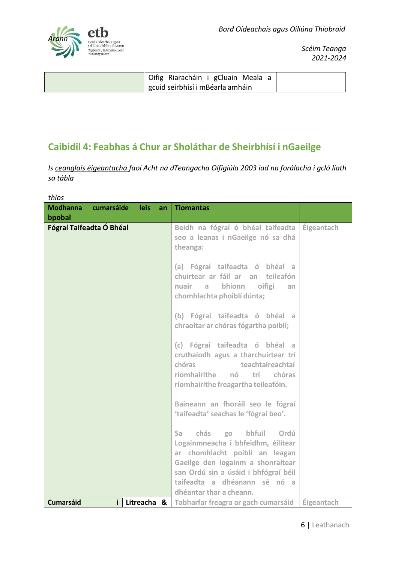

| Oifig Riaracháin i gCluain Meala a            |  |
|-----------------------------------------------|--|
| <sup>I</sup> gcuid seirbhísí i mBéarla amháin |  |

# <span id="page-7-0"></span>**Caibidil 4: Feabhas á Chur ar Sholáthar de Sheirbhísí i nGaeilge**

*Is ceanglais éigeantacha faoi Acht na dTeangacha Oifigiúla 2003 iad na forálacha i gcló liath sa tábla*

*thíos*

| <b>Modhanna</b><br>bpobal | cumarsáide | leis        | an | <b>Tiomantas</b>                                                                                                                                                                                                                            |            |
|---------------------------|------------|-------------|----|---------------------------------------------------------------------------------------------------------------------------------------------------------------------------------------------------------------------------------------------|------------|
| Fógraí Taifeadta Ó Bhéal  |            |             |    | Beidh na fógraí ó bhéal taifeadta<br>seo a leanas i nGaeilge nó sa dhá<br>theanga:                                                                                                                                                          | Éigeantach |
|                           |            |             |    | (a) Fógraí taifeadta ó bhéal a<br>chuirtear ar fáil ar an teileafón<br>nuair a bhíonn oifigí<br>an<br>chomhlachta phoiblí dúnta;                                                                                                            |            |
|                           |            |             |    | (b) Fógraí taifeadta ó bhéal a<br>chraoltar ar chóras fógartha poiblí;                                                                                                                                                                      |            |
|                           |            |             |    | (c) Fógraí taifeadta ó bhéal a<br>cruthaíodh agus a tharchuirtear trí<br>teachtaireachtaí<br>chóras<br>ríomhairithe<br>nó<br>trí l<br>chóras<br>ríomhairithe freagartha teileafóin.                                                         |            |
|                           |            |             |    | Baineann an fhoráil seo le fógraí<br>'taifeadta' seachas le 'fógraí beo'.                                                                                                                                                                   |            |
|                           |            |             |    | chás go bhfuil Ordú<br>Sa a<br>Logainmneacha i bhfeidhm, éilítear<br>ar chomhlacht poiblí an leagan<br>Gaeilge den logainm a shonraítear<br>san Ordú sin a úsáid i bhfógraí béil<br>taifeadta a dhéanann sé nó a<br>dhéantar thar a cheann. |            |
| <b>Cumarsáid</b>          | Ĭ.         | Litreacha & |    | Tabharfar freagra ar gach cumarsáid                                                                                                                                                                                                         | Éigeantach |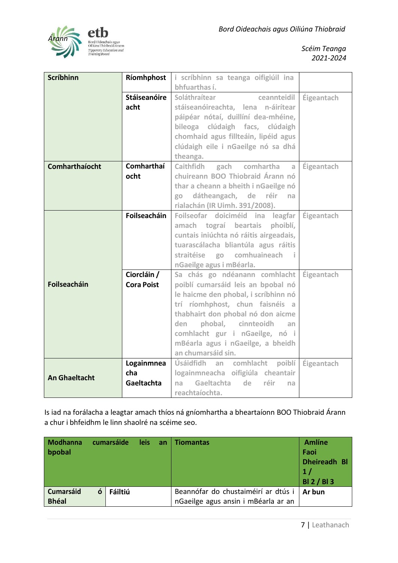

| <b>Scríbhinn</b>      | Ríomhphost          | i scríbhinn sa teanga oifigiúil ina      |            |
|-----------------------|---------------------|------------------------------------------|------------|
|                       |                     | bhfuarthas í.                            |            |
|                       | <b>Stáiseanóire</b> | Soláthraítear<br>ceannteidil             | Éigeantach |
|                       | acht                | stáiseanóireachta, lena n-áirítear       |            |
|                       |                     | páipéar nótaí, duillíní dea-mhéine,      |            |
|                       |                     | bileoga clúdaigh facs, clúdaigh          |            |
|                       |                     | chomhaid agus fillteáin, lipéid agus     |            |
|                       |                     | clúdaigh eile i nGaeilge nó sa dhá       |            |
|                       |                     | theanga.                                 |            |
| <b>Comharthaíocht</b> | Comharthaí          | gach comhartha a<br><b>Caithfidh</b>     | Éigeantach |
|                       | ocht                | chuireann BOO Thiobraid Árann nó         |            |
|                       |                     | thar a cheann a bheith i nGaeilge nó     |            |
|                       |                     | go dátheangach, de réir na               |            |
|                       |                     | rialachán (IR Uimh. 391/2008).           |            |
|                       | Foilseacháin        | Foilseofar doiciméid ina leagfar         | Éigeantach |
|                       |                     | amach tograí beartais<br>phoiblí,        |            |
|                       |                     | cuntais iniúchta nó ráitis airgeadais,   |            |
|                       |                     | tuarascálacha bliantúla agus ráitis      |            |
|                       |                     | straitéise go comhuaineach i             |            |
|                       |                     | nGaeilge agus i mBéarla.                 |            |
|                       | Ciorcláin /         | Sa chás go ndéanann comhlacht Éigeantach |            |
| Foilseacháin          | <b>Cora Poist</b>   | poiblí cumarsáid leis an bpobal nó       |            |
|                       |                     | le haicme den phobal, i scríbhinn nó     |            |
|                       |                     | trí ríomhphost, chun faisnéis a          |            |
|                       |                     | thabhairt don phobal nó don aicme        |            |
|                       |                     | den phobal, cinnteoidh an                |            |
|                       |                     | comhlacht gur i nGaeilge, nó i           |            |
|                       |                     | mBéarla agus i nGaeilge, a bheidh        |            |
|                       |                     | an chumarsáid sin.                       |            |
|                       | Logainmnea          | Úsáidfidh an comhlacht poiblí Éigeantach |            |
| <b>An Ghaeltacht</b>  | cha                 | logainmneacha oifigiúla cheantair        |            |
|                       | <b>Gaeltachta</b>   | Gaeltachta<br>de réir<br>na<br>na        |            |
|                       |                     | reachtaíochta.                           |            |

Is iad na forálacha a leagtar amach thíos ná gníomhartha a bheartaíonn BOO Thiobraid Árann a chur i bhfeidhm le linn shaolré na scéime seo.

| <b>Modhanna</b><br>bpobal        |   | cumarsáide | <b>leis</b> | an | <b>Tiomantas</b>                                                           | <b>Amlíne</b><br>Faoi<br><b>Dheireadh Bl</b><br>1/<br><b>BI2/BI3</b> |
|----------------------------------|---|------------|-------------|----|----------------------------------------------------------------------------|----------------------------------------------------------------------|
| <b>Cumarsáid</b><br><b>Bhéal</b> | ó | Fáiltiú    |             |    | Beannófar do chustaiméirí ar dtús i<br>nGaeilge agus ansin i mBéarla ar an | Ar bun                                                               |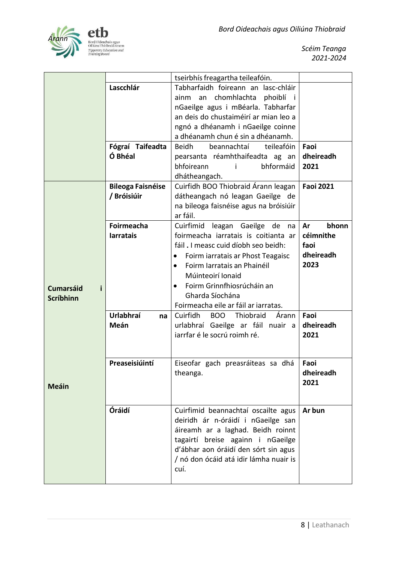

|                                           |                                          | tseirbhís freagartha teileafóin.                                                                                                                                                                                                                                                                                 |                                                       |
|-------------------------------------------|------------------------------------------|------------------------------------------------------------------------------------------------------------------------------------------------------------------------------------------------------------------------------------------------------------------------------------------------------------------|-------------------------------------------------------|
|                                           | Lascchlár<br>Fógraí Taifeadta<br>Ó Bhéal | Tabharfaidh foireann an lasc-chláir<br>an chomhlachta phoiblí i<br>ainm<br>nGaeilge agus i mBéarla. Tabharfar<br>an deis do chustaiméirí ar mian leo a<br>ngnó a dhéanamh i nGaeilge coinne<br>a dhéanamh chun é sin a dhéanamh.<br><b>Beidh</b><br>teileafóin<br>beannachtaí<br>pearsanta réamhthaifeadta ag an | Faoi<br>dheireadh                                     |
|                                           |                                          | bhformáid<br>bhfoireann<br>Ť<br>dhátheangach.                                                                                                                                                                                                                                                                    | 2021                                                  |
|                                           | <b>Bileoga Faisnéise</b><br>/ Bróisiúir  | Cuirfidh BOO Thiobraid Árann leagan<br>dátheangach nó leagan Gaeilge de<br>na bileoga faisnéise agus na bróisiúir<br>ar fáil.                                                                                                                                                                                    | <b>Faoi 2021</b>                                      |
| <b>Cumarsáid</b><br>i<br><b>Scríbhinn</b> | <b>Foirmeacha</b><br><b>larratais</b>    | Cuirfimid<br>leagan Gaeilge<br>de<br>na<br>foirmeacha iarratais is coitianta ar<br>fáil. I measc cuid díobh seo beidh:<br>Foirm iarratais ar Phost Teagaisc<br>٠<br>Foirm Iarratais an Phainéil<br>Múinteoirí Ionaid<br>Foirm Grinnfhiosrúcháin an<br>Gharda Síochána<br>Foirmeacha eile ar fáil ar iarratas.    | bhonn<br>Ar<br>céimnithe<br>faoi<br>dheireadh<br>2023 |
|                                           | <b>Urlabhraí</b><br>na<br>Meán           | Cuirfidh<br><b>BOO</b><br>Thiobraid<br>Árann<br>urlabhraí Gaeilge ar fáil nuair a<br>jarrfar é le socrú roimh ré.                                                                                                                                                                                                | Faoi<br>dheireadh<br>2021                             |
| <b>Meáin</b>                              | Preaseisiúintí                           | Eiseofar gach preasráiteas sa dhá<br>theanga.                                                                                                                                                                                                                                                                    | Faoi<br>dheireadh<br>2021                             |
|                                           | Óráidí                                   | Cuirfimid beannachtaí oscailte agus<br>deiridh ár n-óráidí i nGaeilge san<br>áireamh ar a laghad. Beidh roinnt<br>tagairtí breise againn i nGaeilge<br>d'ábhar aon óráidí den sórt sin agus<br>/ nó don ócáid atá idir lámha nuair is<br>cuí.                                                                    | Ar bun                                                |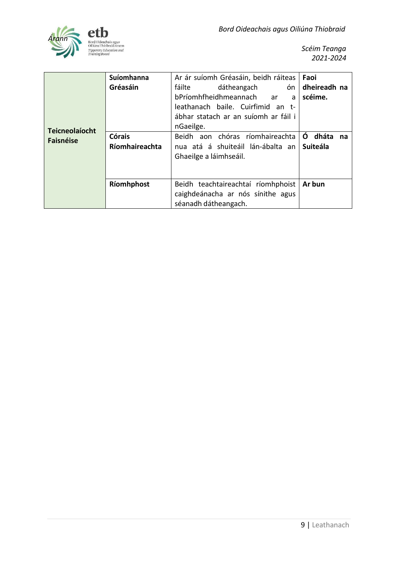

| <b>Teicneolaíocht</b> | Suíomhanna<br>Gréasáin          | Ar ár suíomh Gréasáin, beidh ráiteas<br>dátheangach<br>ón<br>fáilte<br>bPríomhfheidhmeannach<br>ar<br>a<br>leathanach baile. Cuirfimid an t-<br>ábhar statach ar an suíomh ar fáil i<br>nGaeilge. | Faoi<br>dheireadh na<br>scéime.     |
|-----------------------|---------------------------------|---------------------------------------------------------------------------------------------------------------------------------------------------------------------------------------------------|-------------------------------------|
| <b>Faisnéise</b>      | <b>Córais</b><br>Ríomhaireachta | Beidh aon chóras ríomhaireachta<br>nua atá á shuiteáil lán-ábalta an<br>Ghaeilge a láimhseáil.                                                                                                    | dháta<br>O<br>na<br><b>Suiteála</b> |
|                       | Ríomhphost                      | Beidh teachtaireachtaí ríomhphoist<br>caighdeánacha ar nós sínithe agus<br>séanadh dátheangach.                                                                                                   | Ar bun                              |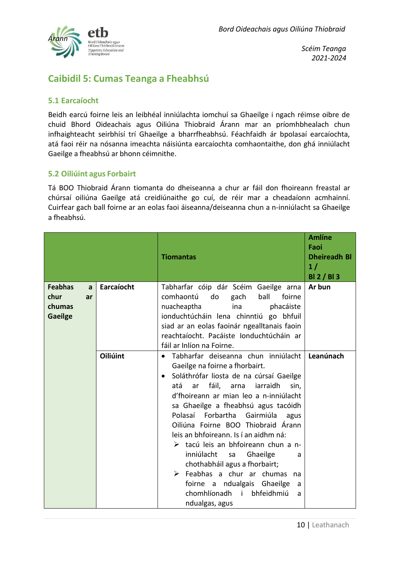

# **Caibidil 5: Cumas Teanga a Fheabhsú**

#### <span id="page-11-0"></span>**5.1 Earcaíocht**

Beidh earcú foirne leis an leibhéal inniúlachta iomchuí sa Ghaeilge i ngach réimse oibre de chuid Bhord Oideachais agus Oiliúna Thiobraid Árann mar an príomhbhealach chun infhaighteacht seirbhísí trí Ghaeilge a bharrfheabhsú. Féachfaidh ár bpolasaí earcaíochta, atá faoi réir na nósanna imeachta náisiúnta earcaíochta comhaontaithe, don ghá inniúlacht Gaeilge a fheabhsú ar bhonn céimnithe.

#### <span id="page-11-1"></span>**5.2 Oiliúint agus Forbairt**

Tá BOO Thiobraid Árann tiomanta do dheiseanna a chur ar fáil don fhoireann freastal ar chúrsaí oiliúna Gaeilge atá creidiúnaithe go cuí, de réir mar a cheadaíonn acmhainní. Cuirfear gach ball foirne ar an eolas faoi áiseanna/deiseanna chun a n-inniúlacht sa Ghaeilge a fheabhsú.

|                                                               |                 | <b>Tiomantas</b>                                                                                                                                                                                                                                                                                                                                                                                                                                                                                                                                                                                                                                            | <b>Amlíne</b><br>Faoi<br><b>Dheireadh Bl</b><br>1/<br>BI 2 / BI 3 |
|---------------------------------------------------------------|-----------------|-------------------------------------------------------------------------------------------------------------------------------------------------------------------------------------------------------------------------------------------------------------------------------------------------------------------------------------------------------------------------------------------------------------------------------------------------------------------------------------------------------------------------------------------------------------------------------------------------------------------------------------------------------------|-------------------------------------------------------------------|
| <b>Feabhas</b><br>a<br>chur<br>ar<br>chumas<br><b>Gaeilge</b> | Earcaíocht      | Tabharfar cóip dár Scéim Gaeilge arna<br>comhaontú<br>ball<br>do<br>gach<br>foirne<br>phacáiste<br>nuacheaptha<br>ina<br>ionduchtúcháin lena chinntiú go bhfuil<br>siad ar an eolas faoinár ngealltanais faoin<br>reachtaíocht. Pacáiste Ionduchtúcháin ar<br>fáil ar Inlíon na Foirne.                                                                                                                                                                                                                                                                                                                                                                     | Ar bun                                                            |
|                                                               | <b>Oiliúint</b> | Tabharfar deiseanna chun inniúlacht<br>$\bullet$<br>Gaeilge na foirne a fhorbairt.<br>Soláthrófar liosta de na cúrsaí Gaeilge<br>$\bullet$<br>atá<br>fáil, arna<br>iarraidh<br>ar<br>sin,<br>d'fhoireann ar mian leo a n-inniúlacht<br>sa Ghaeilge a fheabhsú agus tacóidh<br>Polasaí Forbartha<br>Gairmiúla<br>agus<br>Oiliúna Foirne BOO Thiobraid Árann<br>leis an bhfoireann. Is í an aidhm ná:<br>> tacú leis an bhfoireann chun a n-<br>inniúlacht<br>Ghaeilge<br>sa<br>a<br>chothabháil agus a fhorbairt;<br>Feabhas a chur ar chumas<br>na<br>foirne a ndualgais Ghaeilge<br>a<br>chomhlíonadh<br>bhfeidhmiú<br>$\mathbf{i}$<br>a<br>ndualgas, agus | Leanúnach                                                         |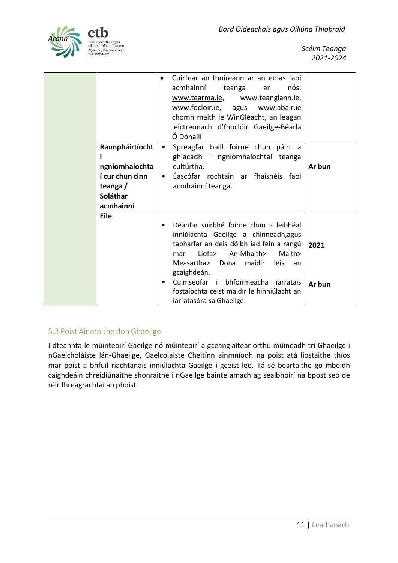

| Rannpháirtíocht<br>ngníomhaíochta<br>í cur chun cinn<br>teanga/<br>Soláthar<br>acmhainní | acmhainní<br>Ó Dónaill<br>cultúrtha. | Cuirfear an fhoireann ar an eolas faoi<br>teanga<br>www.tearma.ie,<br>www.focloir.ie, agus<br>chomh maith le WinGléacht, an leagan<br>leictreonach d'fhoclóir Gaeilge-Béarla<br>Spreagfar baill foirne chun páirt a<br>ghlacadh i ngníomhaíochtaí teanga<br>Éascófar rochtain ar fhaisnéis faoi<br>acmhainní teanga. | nós:<br>ar<br>www.teanglann.ie,<br>www.abair.ie | Ar bun         |
|------------------------------------------------------------------------------------------|--------------------------------------|----------------------------------------------------------------------------------------------------------------------------------------------------------------------------------------------------------------------------------------------------------------------------------------------------------------------|-------------------------------------------------|----------------|
| <b>Eile</b>                                                                              | mar<br>Measartha><br>gcaighdeán.     | Déanfar suirbhé foirne chun a leibhéal<br>inniúlachta Gaeilge a chinneadh, agus<br>tabharfar an deis dóibh iad féin a rangú<br>Líofa><br>An-Mhaith><br>maidir<br>Dona<br>Cuimseofar i bhfoirmeacha iarratais<br>fostaíochta ceist maidir le hinniúlacht an<br>iarratasóra sa Ghaeilge.                               | Maith><br>leis<br>an                            | 2021<br>Ar bun |

#### <span id="page-12-0"></span>5.3 Poist Ainmnithe don Ghaeilge

I dteannta le múinteoirí Gaeilge nó múinteoirí a gceanglaítear orthu múineadh trí Ghaeilge i nGaelcholáiste lán-Ghaeilge, Gaelcolaiste Cheitínn ainmníodh na poist atá liostaithe thíos mar poist a bhfuil riachtanais inniúlachta Gaeilge i gceist leo. Tá sé beartaithe go mbeidh caighdeáin chreidiúnaithe shonraithe i nGaeilge bainte amach ag sealbhóirí na bpost seo de réir fhreagrachtaí an phoist.